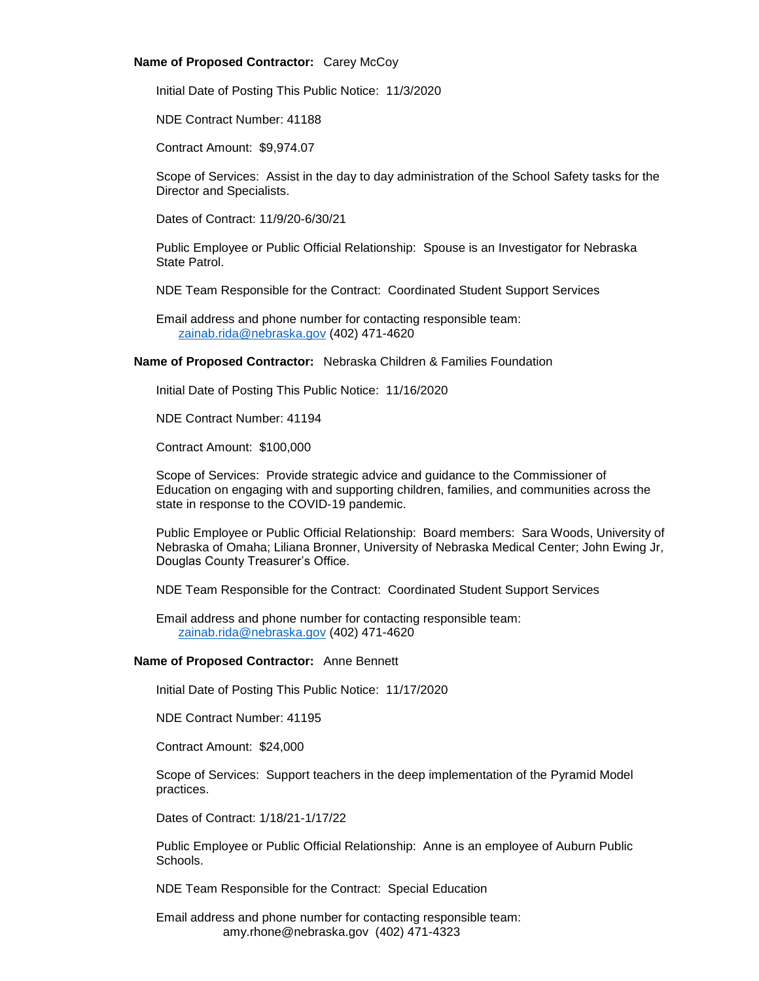## **Name of Proposed Contractor:** Carey McCoy

Initial Date of Posting This Public Notice: 11/3/2020

NDE Contract Number: 41188

Contract Amount: \$9,974.07

Scope of Services: Assist in the day to day administration of the School Safety tasks for the Director and Specialists.

Dates of Contract: 11/9/20-6/30/21

Public Employee or Public Official Relationship: Spouse is an Investigator for Nebraska State Patrol.

NDE Team Responsible for the Contract: Coordinated Student Support Services

Email address and phone number for contacting responsible team: [zainab.rida@nebraska.gov](mailto:zainab.rida@nebraska.gov) (402) 471-4620

**Name of Proposed Contractor:** Nebraska Children & Families Foundation

Initial Date of Posting This Public Notice: 11/16/2020

NDE Contract Number: 41194

Contract Amount: \$100,000

Scope of Services: Provide strategic advice and guidance to the Commissioner of Education on engaging with and supporting children, families, and communities across the state in response to the COVID‐19 pandemic.

Public Employee or Public Official Relationship: Board members: Sara Woods, University of Nebraska of Omaha; Liliana Bronner, University of Nebraska Medical Center; John Ewing Jr, Douglas County Treasurer's Office.

NDE Team Responsible for the Contract: Coordinated Student Support Services

Email address and phone number for contacting responsible team: [zainab.rida@nebraska.gov](mailto:zainab.rida@nebraska.gov) (402) 471-4620

## **Name of Proposed Contractor:** Anne Bennett

Initial Date of Posting This Public Notice: 11/17/2020

NDE Contract Number: 41195

Contract Amount: \$24,000

Scope of Services: Support teachers in the deep implementation of the Pyramid Model practices.

Dates of Contract: 1/18/21-1/17/22

Public Employee or Public Official Relationship: Anne is an employee of Auburn Public Schools.

NDE Team Responsible for the Contract: Special Education

Email address and phone number for contacting responsible team: amy.rhone@nebraska.gov (402) 471-4323